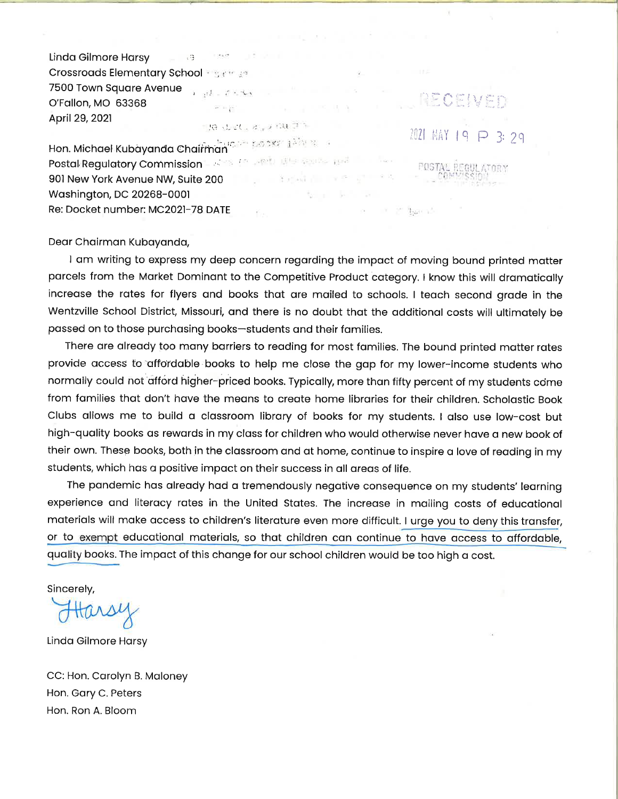$-13$ Linda Gilmore Harsy Crossroads Elementary School and many 7500 Town Square Avenue  $1-q(1-\tau^2)\leq 2\pi\tau$ O'Fallon, MO 63368  $\mathcal{P}^{\mathcal{C}}$  in  $\mathcal{C}^{\mathcal{C}}$  . April 29, 2021

**CENTER AND DELLA PEL** Hon. Michael Kubayanda Chairman

ifica.

Postal Regulatory Commission - 2008 (Section 1999) and wall a probability 901 New York Avenue NW, Suite 200 Washington, DC 20268-0001 Re: Docket number: MC2021-78 DATE

Dear Chairman Kubayanda,

I am writing to express my deep concern regarding the impact of moving bound printed matter parcels from the Market Dominant to the Competitive Product category. I know this will dramatically increase the rates for flyers and books that are mailed to schools. I teach second grade in the Wentzville School District, Missouri, and there is no doubt that the additional costs will ultimately be passed on to those purchasing books-students and their families.

 $\varphi$  (54)

DECENED

2021 MAY 19 P 3: 29

**POSTAL REGULATORY** 

■ 2" bach3

There are already too many barriers to reading for most families. The bound printed matter rates provide access to affordable books to help me close the gap for my lower-income students who normally could not afford higher-priced books. Typically, more than fifty percent of my students come from families that don't have the means to create home libraries for their children. Scholastic Book Clubs allows me to build a classroom library of books for my students. I also use low-cost but high-quality books as rewards in my class for children who would otherwise never have a new book of their own. These books, both in the classroom and at home, continue to inspire a love of reading in my students, which has a positive impact on their success in all areas of life.

The pandemic has already had a tremendously negative consequence on my students' learning experience and literacy rates in the United States. The increase in mailing costs of educational materials will make access to children's literature even more difficult. I urge you to deny this transfer, or to exempt educational materials, so that children can continue to have access to affordable, quality books. The impact of this change for our school children would be too high a cost.

Sincerely,

Linda Gilmore Harsy

CC: Hon. Carolyn B. Maloney Hon. Gary C. Peters Hon. Ron A. Bloom